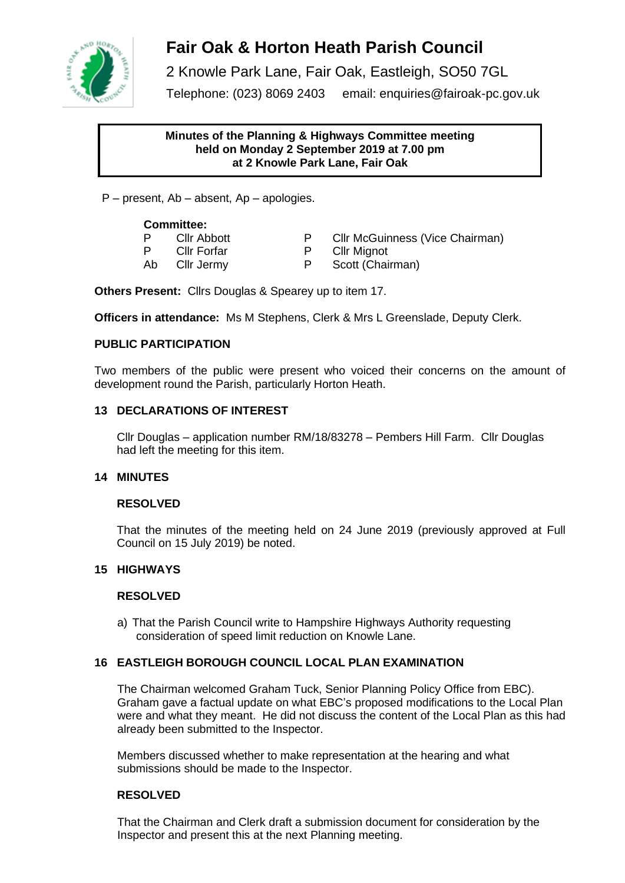

# **Fair Oak & Horton Heath Parish Council**

2 Knowle Park Lane, Fair Oak, Eastleigh, SO50 7GL

Telephone: (023) 8069 2403 email: enquiries@fairoak-pc.gov.uk

## **Minutes of the Planning & Highways Committee meeting held on Monday 2 September 2019 at 7.00 pm at 2 Knowle Park Lane, Fair Oak**

P – present, Ab – absent, Ap – apologies.

## **Committee:**

- P Cllr Abbott P Cllr McGuinness (Vice Chairman) P Cllr Forfar P Cllr Mignot Ab Cllr Jermy P Scott (Chairman)
- 
- 

**Others Present:** Cllrs Douglas & Spearey up to item 17.

**Officers in attendance:** Ms M Stephens, Clerk & Mrs L Greenslade, Deputy Clerk.

# **PUBLIC PARTICIPATION**

Two members of the public were present who voiced their concerns on the amount of development round the Parish, particularly Horton Heath.

## **13 DECLARATIONS OF INTEREST**

Cllr Douglas – application number RM/18/83278 – Pembers Hill Farm. Cllr Douglas had left the meeting for this item.

## **14 MINUTES**

## **RESOLVED**

That the minutes of the meeting held on 24 June 2019 (previously approved at Full Council on 15 July 2019) be noted.

## **15 HIGHWAYS**

## **RESOLVED**

a) That the Parish Council write to Hampshire Highways Authority requesting consideration of speed limit reduction on Knowle Lane.

# **16 EASTLEIGH BOROUGH COUNCIL LOCAL PLAN EXAMINATION**

The Chairman welcomed Graham Tuck, Senior Planning Policy Office from EBC). Graham gave a factual update on what EBC's proposed modifications to the Local Plan were and what they meant. He did not discuss the content of the Local Plan as this had already been submitted to the Inspector.

Members discussed whether to make representation at the hearing and what submissions should be made to the Inspector.

## **RESOLVED**

That the Chairman and Clerk draft a submission document for consideration by the Inspector and present this at the next Planning meeting.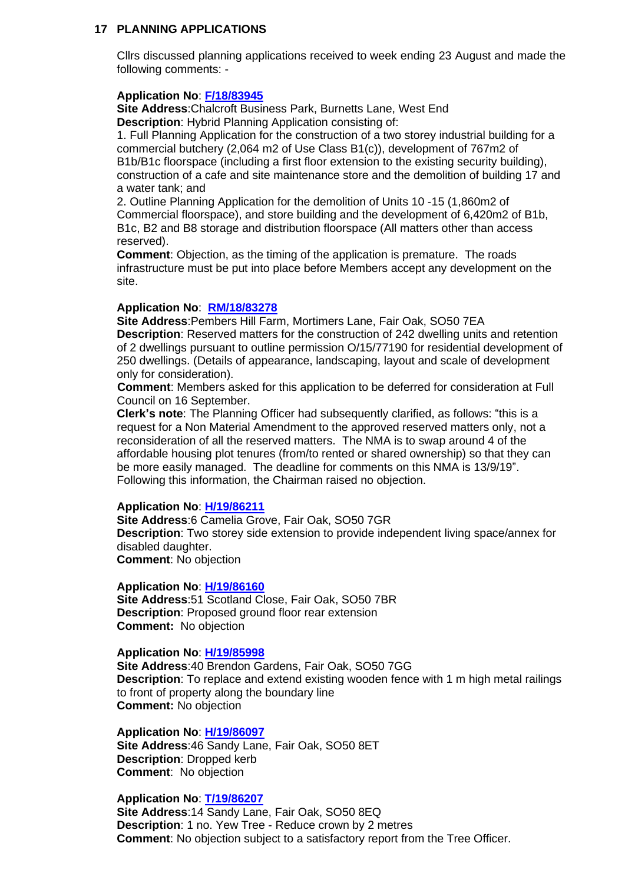## **17 PLANNING APPLICATIONS**

Cllrs discussed planning applications received to week ending 23 August and made the following comments: -

#### **Application No**: **[F/18/83945](https://planning.eastleigh.gov.uk/s/papplication/a1M1v000004166P)**

**Site Address**:Chalcroft Business Park, Burnetts Lane, West End **Description**: Hybrid Planning Application consisting of:

1. Full Planning Application for the construction of a two storey industrial building for a commercial butchery (2,064 m2 of Use Class B1(c)), development of 767m2 of B1b/B1c floorspace (including a first floor extension to the existing security building), construction of a cafe and site maintenance store and the demolition of building 17 and a water tank; and

2. Outline Planning Application for the demolition of Units 10 -15 (1,860m2 of Commercial floorspace), and store building and the development of 6,420m2 of B1b, B1c, B2 and B8 storage and distribution floorspace (All matters other than access reserved).

**Comment**: Objection, as the timing of the application is premature. The roads infrastructure must be put into place before Members accept any development on the site.

## **Application No**: **[RM/18/83278](https://planning.eastleigh.gov.uk/s/papplication/a1M0Y000004HPxV)**

**Site Address**:Pembers Hill Farm, Mortimers Lane, Fair Oak, SO50 7EA **Description**: Reserved matters for the construction of 242 dwelling units and retention of 2 dwellings pursuant to outline permission O/15/77190 for residential development of 250 dwellings. (Details of appearance, landscaping, layout and scale of development only for consideration).

**Comment**: Members asked for this application to be deferred for consideration at Full Council on 16 September.

**Clerk's note**: The Planning Officer had subsequently clarified, as follows: "this is a request for a Non Material Amendment to the approved reserved matters only, not a reconsideration of all the reserved matters. The NMA is to swap around 4 of the affordable housing plot tenures (from/to rented or shared ownership) so that they can be more easily managed. The deadline for comments on this NMA is 13/9/19". Following this information, the Chairman raised no objection.

#### **Application No**: **[H/19/86211](https://planning.eastleigh.gov.uk/s/papplication/a1M4J000000DoFy)**

**Site Address**:6 Camelia Grove, Fair Oak, SO50 7GR **Description**: Two storey side extension to provide independent living space/annex for disabled daughter. **Comment**: No objection

#### **Application No**: **[H/19/86160](https://planning.eastleigh.gov.uk/s/papplication/a1M4J000000Dlg9)**

**Site Address**:51 Scotland Close, Fair Oak, SO50 7BR **Description**: Proposed ground floor rear extension **Comment:** No objection

## **Application No**: **[H/19/85998](https://planning.eastleigh.gov.uk/s/papplication/a1M4J000000DhU9)**

**Site Address**:40 Brendon Gardens, Fair Oak, SO50 7GG **Description**: To replace and extend existing wooden fence with 1 m high metal railings to front of property along the boundary line **Comment:** No objection

#### **Application No**: **[H/19/86097](https://planning.eastleigh.gov.uk/s/papplication/a1M4J000000Djme)**

**Site Address**:46 Sandy Lane, Fair Oak, SO50 8ET **Description**: Dropped kerb **Comment**: No objection

## **Application No**: **[T/19/86207](https://planning.eastleigh.gov.uk/s/papplication/a1M4J000000DoFe)**

**Site Address**:14 Sandy Lane, Fair Oak, SO50 8EQ **Description**: 1 no. Yew Tree - Reduce crown by 2 metres **Comment**: No objection subject to a satisfactory report from the Tree Officer.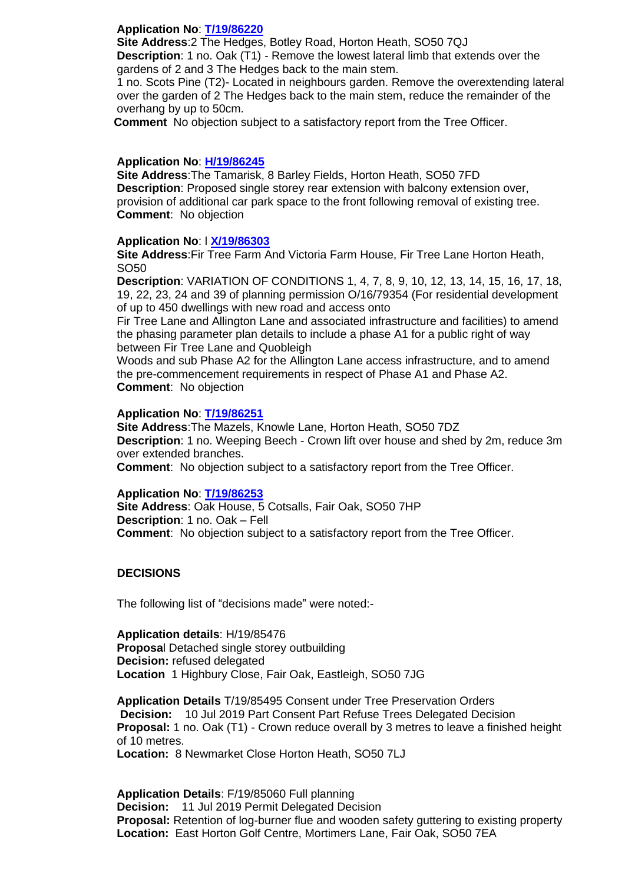## **Application No**: **[T/19/86220](https://planning.eastleigh.gov.uk/s/papplication/a1M4J000000DoIl)**

**Site Address**:2 The Hedges, Botley Road, Horton Heath, SO50 7QJ **Description**: 1 no. Oak (T1) - Remove the lowest lateral limb that extends over the gardens of 2 and 3 The Hedges back to the main stem.

1 no. Scots Pine (T2)- Located in neighbours garden. Remove the overextending lateral over the garden of 2 The Hedges back to the main stem, reduce the remainder of the overhang by up to 50cm.

 **Comment** No objection subject to a satisfactory report from the Tree Officer.

#### **Application No**: **[H/19/86245](https://planning.eastleigh.gov.uk/s/papplication/a1M4J000000DpxL)**

**Site Address**:The Tamarisk, 8 Barley Fields, Horton Heath, SO50 7FD **Description**: Proposed single storey rear extension with balcony extension over, provision of additional car park space to the front following removal of existing tree. **Comment**: No objection

#### **Application No**: l **[X/19/86303](https://planning.eastleigh.gov.uk/s/papplication/a1M4J000000DscZ)**

**Site Address**:Fir Tree Farm And Victoria Farm House, Fir Tree Lane Horton Heath, SO50

**Description**: VARIATION OF CONDITIONS 1, 4, 7, 8, 9, 10, 12, 13, 14, 15, 16, 17, 18, 19, 22, 23, 24 and 39 of planning permission O/16/79354 (For residential development of up to 450 dwellings with new road and access onto

Fir Tree Lane and Allington Lane and associated infrastructure and facilities) to amend the phasing parameter plan details to include a phase A1 for a public right of way between Fir Tree Lane and Quobleigh

Woods and sub Phase A2 for the Allington Lane access infrastructure, and to amend the pre-commencement requirements in respect of Phase A1 and Phase A2. **Comment**: No objection

#### **Application No**: **[T/19/86251](https://planning.eastleigh.gov.uk/s/papplication/a1M4J000000DqnU)**

**Site Address**:The Mazels, Knowle Lane, Horton Heath, SO50 7DZ **Description**: 1 no. Weeping Beech - Crown lift over house and shed by 2m, reduce 3m over extended branches.

**Comment**: No objection subject to a satisfactory report from the Tree Officer.

#### **Application No**: **[T/19/86253](https://planning.eastleigh.gov.uk/s/papplication/a1M4J000000DquC)**

**Site Address**: Oak House, 5 Cotsalls, Fair Oak, SO50 7HP **Description**: 1 no. Oak – Fell **Comment**: No objection subject to a satisfactory report from the Tree Officer.

#### **DECISIONS**

The following list of "decisions made" were noted:-

**Application details**: H/19/85476 **Proposa**l Detached single storey outbuilding **Decision:** refused delegated **Location** 1 Highbury Close, Fair Oak, Eastleigh, SO50 7JG

**Application Details** T/19/85495 Consent under Tree Preservation Orders **Decision:** 10 Jul 2019 Part Consent Part Refuse Trees Delegated Decision **Proposal:** 1 no. Oak (T1) - Crown reduce overall by 3 metres to leave a finished height of 10 metres.

**Location:** 8 Newmarket Close Horton Heath, SO50 7LJ

**Application Details**: F/19/85060 Full planning **Decision:** 11 Jul 2019 Permit Delegated Decision **Proposal:** Retention of log-burner flue and wooden safety guttering to existing property **Location:** East Horton Golf Centre, Mortimers Lane, Fair Oak, SO50 7EA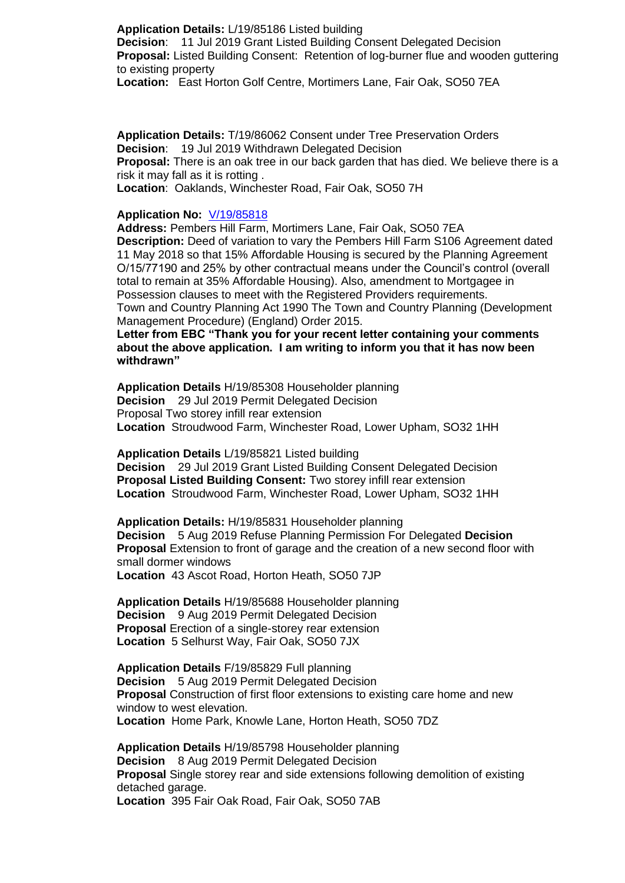**Application Details:** L/19/85186 Listed building **Decision**: 11 Jul 2019 Grant Listed Building Consent Delegated Decision **Proposal:** Listed Building Consent: Retention of log-burner flue and wooden guttering to existing property

**Location:** East Horton Golf Centre, Mortimers Lane, Fair Oak, SO50 7EA

**Application Details:** T/19/86062 Consent under Tree Preservation Orders **Decision**: 19 Jul 2019 Withdrawn Delegated Decision **Proposal:** There is an oak tree in our back garden that has died. We believe there is a risk it may fall as it is rotting . **Location**: Oaklands, Winchester Road, Fair Oak, SO50 7H

**Application No:** [V/19/85818](https://planning.eastleigh.gov.uk/s/papplication/a1M4J000000DWPb)

**Address:** Pembers Hill Farm, Mortimers Lane, Fair Oak, SO50 7EA

**Description:** Deed of variation to vary the Pembers Hill Farm S106 Agreement dated 11 May 2018 so that 15% Affordable Housing is secured by the Planning Agreement O/15/77190 and 25% by other contractual means under the Council's control (overall total to remain at 35% Affordable Housing). Also, amendment to Mortgagee in Possession clauses to meet with the Registered Providers requirements. Town and Country Planning Act 1990 The Town and Country Planning (Development Management Procedure) (England) Order 2015.

**Letter from EBC "Thank you for your recent letter containing your comments about the above application. I am writing to inform you that it has now been withdrawn"**

**Application Details** H/19/85308 Householder planning **Decision** 29 Jul 2019 Permit Delegated Decision Proposal Two storey infill rear extension **Location** Stroudwood Farm, Winchester Road, Lower Upham, SO32 1HH

**Application Details** L/19/85821 Listed building **Decision** 29 Jul 2019 Grant Listed Building Consent Delegated Decision **Proposal Listed Building Consent:** Two storey infill rear extension **Location** Stroudwood Farm, Winchester Road, Lower Upham, SO32 1HH

**Application Details:** H/19/85831 Householder planning **Decision** 5 Aug 2019 Refuse Planning Permission For Delegated **Decision Proposal** Extension to front of garage and the creation of a new second floor with small dormer windows

**Location** 43 Ascot Road, Horton Heath, SO50 7JP

**Application Details** H/19/85688 Householder planning **Decision** 9 Aug 2019 Permit Delegated Decision **Proposal** Erection of a single-storey rear extension **Location** 5 Selhurst Way, Fair Oak, SO50 7JX

**Application Details** F/19/85829 Full planning **Decision** 5 Aug 2019 Permit Delegated Decision **Proposal** Construction of first floor extensions to existing care home and new window to west elevation. **Location** Home Park, Knowle Lane, Horton Heath, SO50 7DZ

**Application Details** H/19/85798 Householder planning **Decision** 8 Aug 2019 Permit Delegated Decision **Proposal** Single storey rear and side extensions following demolition of existing detached garage. **Location** 395 Fair Oak Road, Fair Oak, SO50 7AB